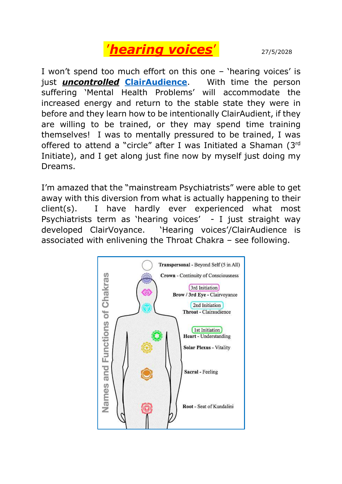

I won't spend too much effort on this one – 'hearing voices' is just *uncontrolled* **[ClairAudience](https://www.google.com.au/search?source=hp&ei=oUsCW5raBofH0ATTwIfoDA&q=ClairAudience&oq=ClairAudience&gs_l=psy-ab.3..0l10.2947.2947.0.5385.1.1.0.0.0.0.204.204.2-1.1.0....0...1c.1.64.psy-ab..0.1.202....0.4sONeokwWsA)**. With time the person suffering 'Mental Health Problems' will accommodate the increased energy and return to the stable state they were in before and they learn how to be intentionally ClairAudient, if they are willing to be trained, or they may spend time training themselves! I was to mentally pressured to be trained, I was offered to attend a "circle" after I was Initiated a Shaman (3rd Initiate), and I get along just fine now by myself just doing my Dreams.

I'm amazed that the "mainstream Psychiatrists" were able to get away with this diversion from what is actually happening to their client(s). I have hardly ever experienced what most Psychiatrists term as 'hearing voices' - I just straight way developed ClairVoyance. 'Hearing voices'/ClairAudience is associated with enlivening the Throat Chakra – see following.